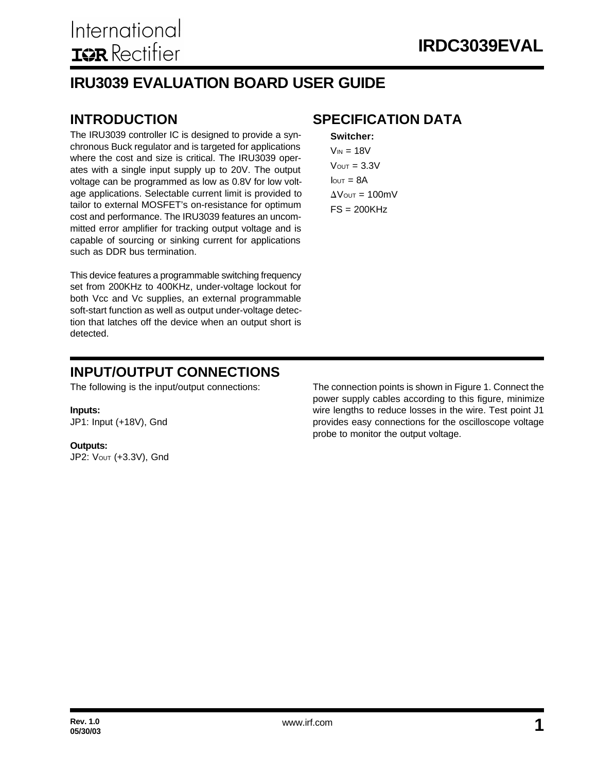#### **IRU3039 EVALUATION BOARD USER GUIDE**

The IRU3039 controller IC is designed to provide a synchronous Buck regulator and is targeted for applications where the cost and size is critical. The IRU3039 operates with a single input supply up to 20V. The output voltage can be programmed as low as 0.8V for low voltage applications. Selectable current limit is provided to tailor to external MOSFET's on-resistance for optimum cost and performance. The IRU3039 features an uncommitted error amplifier for tracking output voltage and is capable of sourcing or sinking current for applications such as DDR bus termination.

This device features a programmable switching frequency set from 200KHz to 400KHz, under-voltage lockout for both Vcc and Vc supplies, an external programmable soft-start function as well as output under-voltage detection that latches off the device when an output short is detected.

#### **INTRODUCTION SPECIFICATION DATA**

**Switcher:**  $V_{IN}$  = 18V  $V$ OUT =  $3.3V$  $I<sub>OUT</sub> = 8A$  $\Delta$ Vout = 100mV  $FS = 200KHz$ 

#### **INPUT/OUTPUT CONNECTIONS**

The following is the input/output connections:

#### **Inputs:**

JP1: Input (+18V), Gnd

#### **Outputs:**

JP2: VOUT (+3.3V), Gnd

The connection points is shown in Figure 1. Connect the power supply cables according to this figure, minimize wire lengths to reduce losses in the wire. Test point J1 provides easy connections for the oscilloscope voltage probe to monitor the output voltage.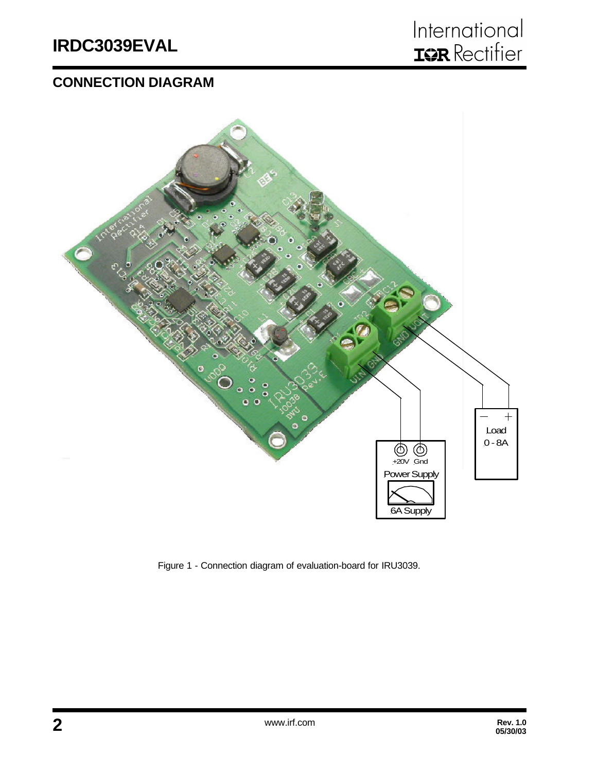#### **CONNECTION DIAGRAM**



Figure 1 - Connection diagram of evaluation-board for IRU3039.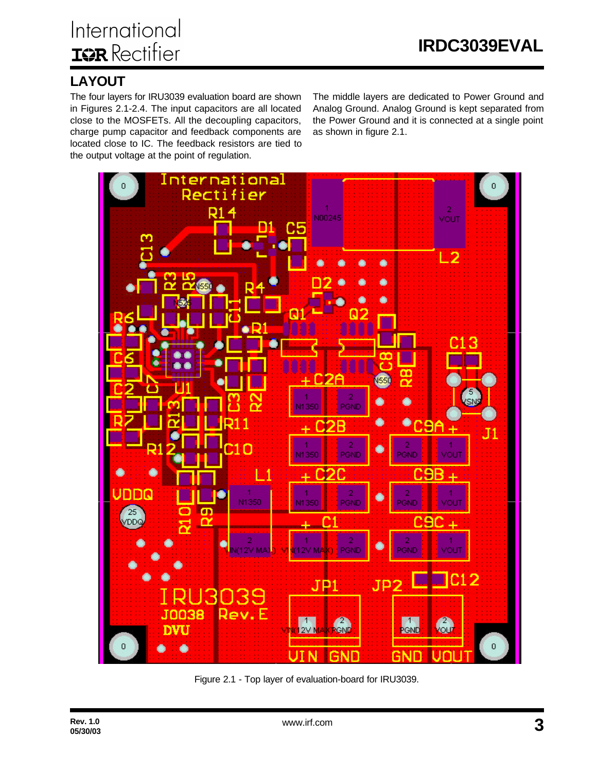#### **LAYOUT**

The four layers for IRU3039 evaluation board are shown in Figures 2.1-2.4. The input capacitors are all located close to the MOSFETs. All the decoupling capacitors, charge pump capacitor and feedback components are located close to IC. The feedback resistors are tied to the output voltage at the point of regulation.

The middle layers are dedicated to Power Ground and Analog Ground. Analog Ground is kept separated from the Power Ground and it is connected at a single point as shown in figure 2.1.



Figure 2.1 - Top layer of evaluation-board for IRU3039.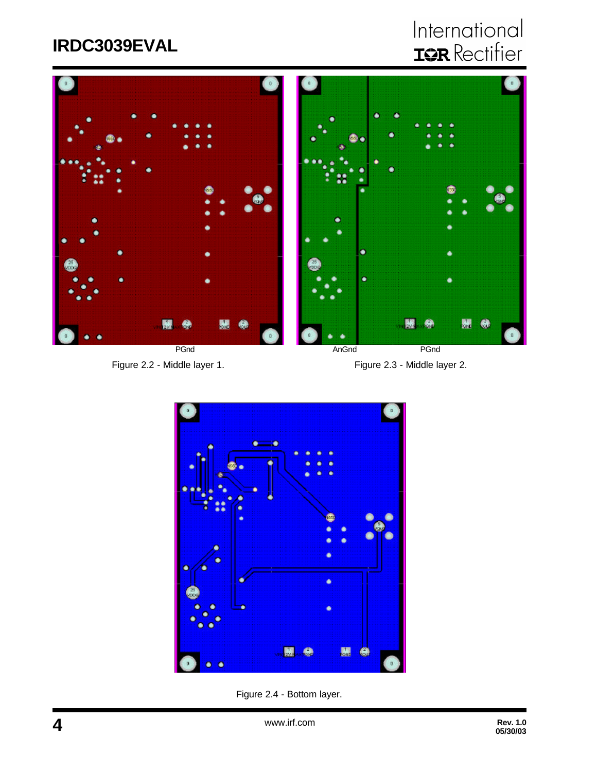## **IRDC3039EVAL**

# International<br>**IGR** Rectifier



**PGnd PGnd Angle PGnd Angle PGnd PGnd** 

Figure 2.2 - Middle layer 1. Figure 2.3 - Middle layer 2.



Figure 2.4 - Bottom layer.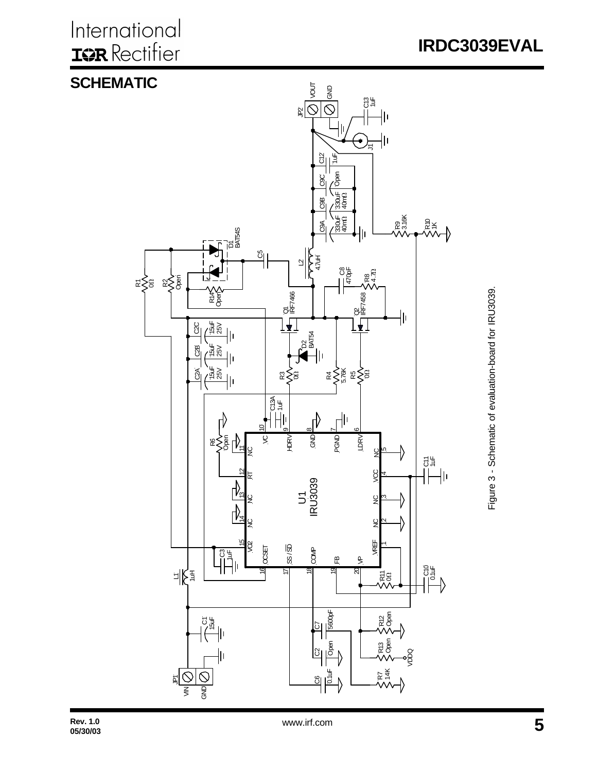International **ISR** Rectifier





Figure 3 - Schematic of evaluation-board for IRU3039. Figure 3 - Schematic of evaluation-board for IRU3039.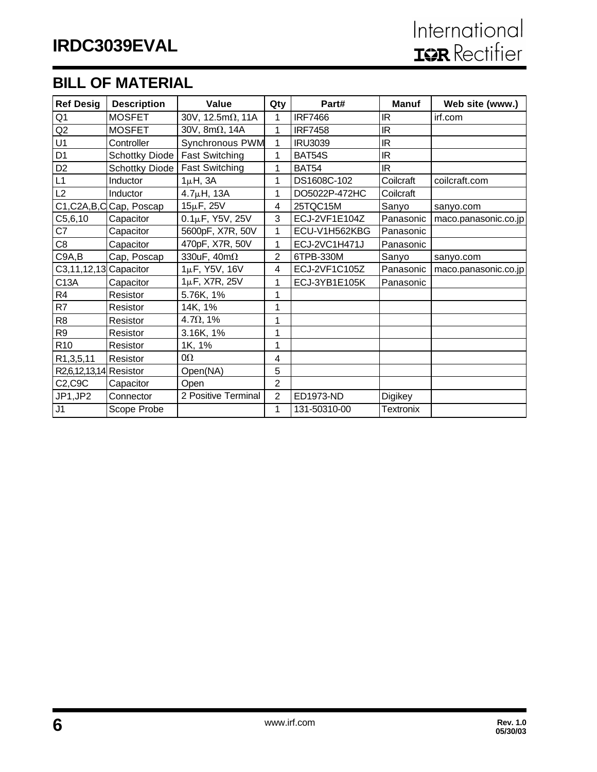#### **BILL OF MATERIAL**

| <b>Ref Desig</b>       | <b>Description</b>        | Value                     | Qty            | Part#          | <b>Manuf</b>     | Web site (www.)      |
|------------------------|---------------------------|---------------------------|----------------|----------------|------------------|----------------------|
| Q1                     | <b>MOSFET</b>             | 30V, 12.5m $\Omega$ , 11A | 1              | <b>IRF7466</b> | IR               | irf.com              |
| Q2                     | <b>MOSFET</b>             | 30V, 8m $\Omega$ , 14A    | 1              | <b>IRF7458</b> | IR               |                      |
| U1                     | Controller                | Synchronous PWM           | 1              | <b>IRU3039</b> | <b>IR</b>        |                      |
| D <sub>1</sub>         | Schottky Diode            | <b>Fast Switching</b>     | 1              | BAT54S         | <b>IR</b>        |                      |
| D <sub>2</sub>         | Schottky Diode            | <b>Fast Switching</b>     | 1              | <b>BAT54</b>   | <b>IR</b>        |                      |
| L1                     | Inductor                  | $1\mu$ H, $3A$            | 1              | DS1608C-102    | Coilcraft        | coilcraft.com        |
| L2                     | Inductor                  | $4.7\muH, 13A$            | 1              | DO5022P-472HC  | Coilcraft        |                      |
|                        | C1, C2A, B, C Cap, Poscap | 15µF, 25V                 | 4              | 25TQC15M       | Sanyo            | sanyo.com            |
| C5, 6, 10              | Capacitor                 | $0.1\mu$ F, Y5V, 25V      | 3              | ECJ-2VF1E104Z  | Panasonic        | maco.panasonic.co.jp |
| C7                     | Capacitor                 | 5600pF, X7R, 50V          | 1              | ECU-V1H562KBG  | Panasonic        |                      |
| C8                     | Capacitor                 | 470pF, X7R, 50V           | 1              | ECJ-2VC1H471J  | Panasonic        |                      |
| C9A,B                  | Cap, Poscap               | 330uF, $40m\Omega$        | $\overline{2}$ | 6TPB-330M      | Sanyo            | sanyo.com            |
| C3,11,12,13 Capacitor  |                           | 1µF, Y5V, 16V             | 4              | ECJ-2VF1C105Z  | Panasonic        | maco.panasonic.co.jp |
| C13A                   | Capacitor                 | $1\mu$ F, X7R, 25V        | 1              | ECJ-3YB1E105K  | Panasonic        |                      |
| R <sub>4</sub>         | Resistor                  | 5.76K, 1%                 | 1              |                |                  |                      |
| R7                     | Resistor                  | 14K, 1%                   | 1              |                |                  |                      |
| R <sub>8</sub>         | Resistor                  | $4.7\Omega$ , 1%          | 1              |                |                  |                      |
| R <sub>9</sub>         | Resistor                  | 3.16K, 1%                 | 1              |                |                  |                      |
| R <sub>10</sub>        | Resistor                  | 1K, 1%                    | 1              |                |                  |                      |
| R1,3,5,11              | Resistor                  | $0\Omega$                 | 4              |                |                  |                      |
| R2,6,12,13,14 Resistor |                           | Open(NA)                  | 5              |                |                  |                      |
| C2,C9C                 | Capacitor                 | Open                      | $\overline{2}$ |                |                  |                      |
| JP1,JP2                | Connector                 | 2 Positive Terminal       | $\overline{2}$ | ED1973-ND      | <b>Digikey</b>   |                      |
| J1                     | Scope Probe               |                           | 1              | 131-50310-00   | <b>Textronix</b> |                      |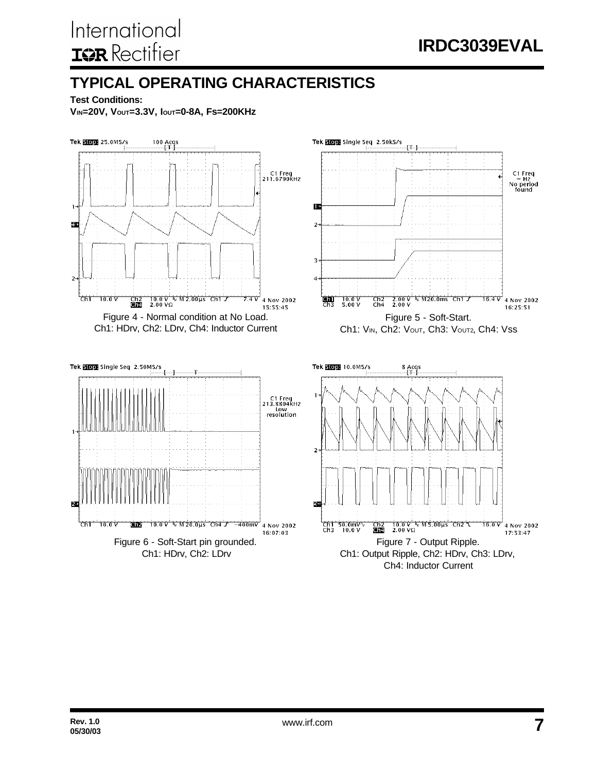### **TYPICAL OPERATING CHARACTERISTICS**

**Test Conditions:**

**VIN=20V, VOUT=3.3V, IOUT=0-8A, Fs=200KHz**